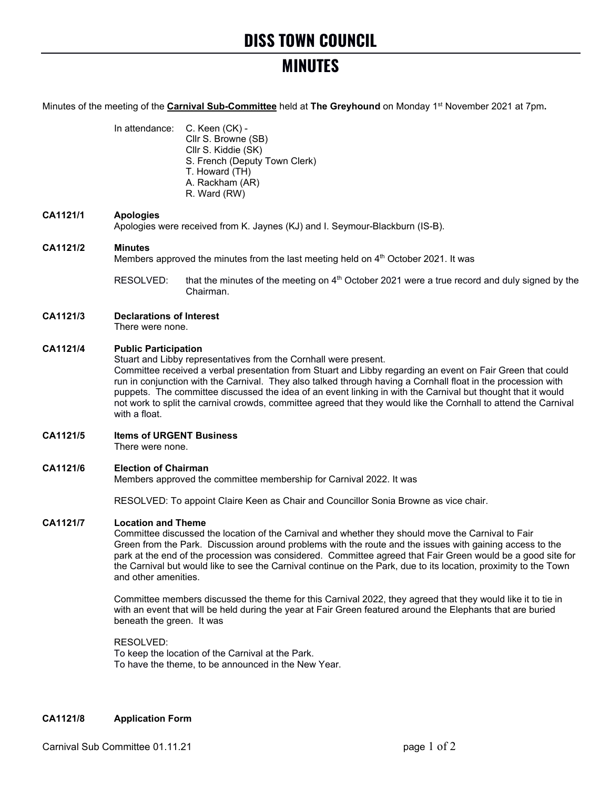# **DISS TOWN COUNCIL**

## **MINUTES**

Minutes of the meeting of the **Carnival Sub-Committee** held at **The Greyhound** on Monday 1st November 2021 at 7pm**.**

In attendance: C. Keen (CK) - Cllr S. Browne (SB) Cllr S. Kiddie (SK) S. French (Deputy Town Clerk) T. Howard (TH) A. Rackham (AR) R. Ward (RW)

## **CA1121/1 Apologies**

Apologies were received from K. Jaynes (KJ) and I. Seymour-Blackburn (IS-B).

## **CA1121/2 Minutes**

Members approved the minutes from the last meeting held on  $4<sup>th</sup>$  October 2021. It was

RESOLVED: that the minutes of the meeting on  $4<sup>th</sup>$  October 2021 were a true record and duly signed by the Chairman.

## **CA1121/3 Declarations of Interest**

There were none.

## **CA1121/4 Public Participation**

Stuart and Libby representatives from the Cornhall were present.

Committee received a verbal presentation from Stuart and Libby regarding an event on Fair Green that could run in conjunction with the Carnival. They also talked through having a Cornhall float in the procession with puppets. The committee discussed the idea of an event linking in with the Carnival but thought that it would not work to split the carnival crowds, committee agreed that they would like the Cornhall to attend the Carnival with a float.

## **CA1121/5 Items of URGENT Business**

There were none.

## **CA1121/6 Election of Chairman**

Members approved the committee membership for Carnival 2022. It was

RESOLVED: To appoint Claire Keen as Chair and Councillor Sonia Browne as vice chair.

## **CA1121/7 Location and Theme**

Committee discussed the location of the Carnival and whether they should move the Carnival to Fair Green from the Park. Discussion around problems with the route and the issues with gaining access to the park at the end of the procession was considered. Committee agreed that Fair Green would be a good site for the Carnival but would like to see the Carnival continue on the Park, due to its location, proximity to the Town and other amenities.

Committee members discussed the theme for this Carnival 2022, they agreed that they would like it to tie in with an event that will be held during the year at Fair Green featured around the Elephants that are buried beneath the green. It was

RESOLVED: To keep the location of the Carnival at the Park. To have the theme, to be announced in the New Year.

## **CA1121/8 Application Form**